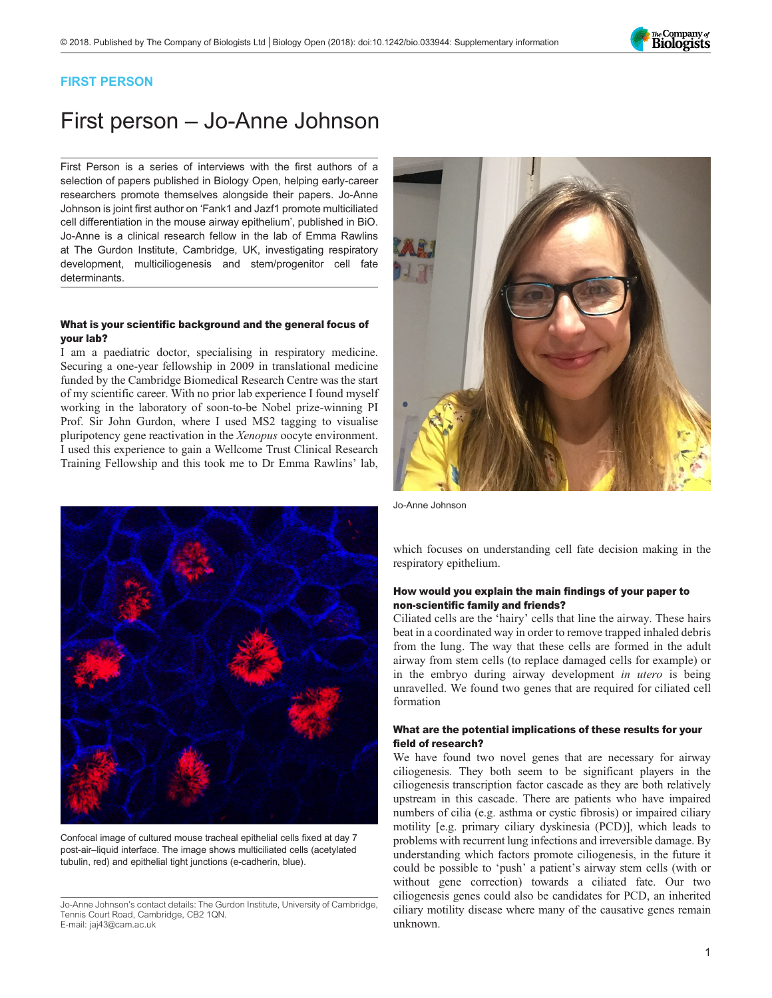

### FIRST PERSON

# First person – Jo-Anne Johnson

First Person is a series of interviews with the first authors of a selection of papers published in Biology Open, helping early-career researchers promote themselves alongside their papers. Jo-Anne Johnson is joint first author on '[Fank1 and Jazf1 promote multiciliated](#page-1-0) [cell differentiation in the mouse airway epithelium](#page-1-0)', published in BiO. Jo-Anne is a clinical research fellow in the lab of Emma Rawlins at The Gurdon Institute, Cambridge, UK, investigating respiratory development, multiciliogenesis and stem/progenitor cell fate determinants.

#### What is your scientific background and the general focus of your lab?

I am a paediatric doctor, specialising in respiratory medicine. Securing a one-year fellowship in 2009 in translational medicine funded by the Cambridge Biomedical Research Centre was the start of my scientific career. With no prior lab experience I found myself working in the laboratory of soon-to-be Nobel prize-winning PI Prof. Sir John Gurdon, where I used MS2 tagging to visualise pluripotency gene reactivation in the Xenopus oocyte environment. I used this experience to gain a Wellcome Trust Clinical Research Training Fellowship and this took me to Dr Emma Rawlins' lab,



Confocal image of cultured mouse tracheal epithelial cells fixed at day 7 post-air–liquid interface. The image shows multiciliated cells (acetylated tubulin, red) and epithelial tight junctions (e-cadherin, blue).

Jo-Anne Johnson's contact details: The Gurdon Institute, University of Cambridge, Tennis Court Road, Cambridge, CB2 1QN. E-mail: [jaj43@cam.ac.uk](mailto:jaj43@cam.ac.uk)



Jo-Anne Johnson

which focuses on understanding cell fate decision making in the respiratory epithelium.

#### How would you explain the main findings of your paper to non-scientific family and friends?

Ciliated cells are the 'hairy' cells that line the airway. These hairs beat in a coordinated way in order to remove trapped inhaled debris from the lung. The way that these cells are formed in the adult airway from stem cells (to replace damaged cells for example) or in the embryo during airway development in utero is being unravelled. We found two genes that are required for ciliated cell formation

#### What are the potential implications of these results for your field of research?

We have found two novel genes that are necessary for airway ciliogenesis. They both seem to be significant players in the ciliogenesis transcription factor cascade as they are both relatively upstream in this cascade. There are patients who have impaired numbers of cilia (e.g. asthma or cystic fibrosis) or impaired ciliary motility [e.g. primary ciliary dyskinesia (PCD)], which leads to problems with recurrent lung infections and irreversible damage. By understanding which factors promote ciliogenesis, in the future it could be possible to 'push' a patient's airway stem cells (with or without gene correction) towards a ciliated fate. Our two ciliogenesis genes could also be candidates for PCD, an inherited ciliary motility disease where many of the causative genes remain unknown.